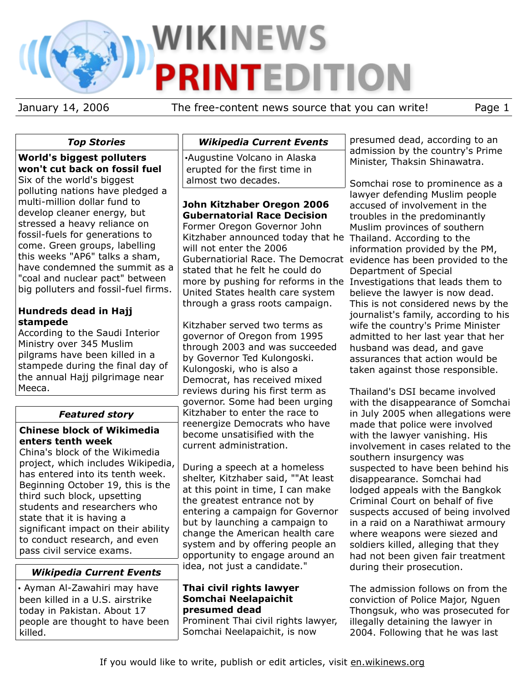# **WIKINEWS PRINTEDITION**

January 14, 2006 The free-content news source that you can write! Page 1

# *Top Stories*

**World's biggest polluters won't cut back on fossil fuel** Six of the world's biggest polluting nations have pledged a multi-million dollar fund to develop cleaner energy, but stressed a heavy reliance on fossil-fuels for generations to come. Green groups, labelling this weeks "AP6" talks a sham, have condemned the summit as a "coal and nuclear pact" between big polluters and fossil-fuel firms.

## **Hundreds dead in Hajj stampede**

According to the Saudi Interior Ministry over 345 Muslim pilgrams have been killed in a stampede during the final day of the annual Hajj pilgrimage near Meeca.

# *Featured story*

# **Chinese block of Wikimedia enters tenth week**

China's block of the Wikimedia project, which includes Wikipedia, has entered into its tenth week. Beginning October 19, this is the third such block, upsetting students and researchers who state that it is having a significant impact on their ability to conduct research, and even pass civil service exams.

# *Wikipedia Current Events*

• Ayman Al-Zawahiri may have been killed in a U.S. airstrike today in Pakistan. About 17 people are thought to have been killed.

*Wikipedia Current Events*

•Augustine Volcano in Alaska erupted for the first time in almost two decades.

# **John Kitzhaber Oregon 2006 Gubernatorial Race Decision**

Former Oregon Governor John Kitzhaber announced today that he Thailand. According to the will not enter the 2006 Gubernatiorial Race. The Democrat evidence has been provided to the stated that he felt he could do more by pushing for reforms in the Investigations that leads them to United States health care system through a grass roots campaign.

Kitzhaber served two terms as governor of Oregon from 1995 through 2003 and was succeeded by Governor Ted Kulongoski. Kulongoski, who is also a Democrat, has received mixed reviews during his first term as governor. Some had been urging Kitzhaber to enter the race to reenergize Democrats who have become unsatisified with the current administration.

During a speech at a homeless shelter, Kitzhaber said, ""At least at this point in time, I can make the greatest entrance not by entering a campaign for Governor but by launching a campaign to change the American health care system and by offering people an opportunity to engage around an idea, not just a candidate."

## **Thai civil rights lawyer Somchai Neelapaichit presumed dead**

Prominent Thai civil rights lawyer, Somchai Neelapaichit, is now

presumed dead, according to an admission by the country's Prime Minister, Thaksin Shinawatra.

Somchai rose to prominence as a lawyer defending Muslim people accused of involvement in the troubles in the predominantly Muslim provinces of southern information provided by the PM, Department of Special believe the lawyer is now dead. This is not considered news by the journalist's family, according to his wife the country's Prime Minister admitted to her last year that her husband was dead, and gave assurances that action would be taken against those responsible.

Thailand's DSI became involved with the disappearance of Somchai in July 2005 when allegations were made that police were involved with the lawyer vanishing. His involvement in cases related to the southern insurgency was suspected to have been behind his disappearance. Somchai had lodged appeals with the Bangkok Criminal Court on behalf of five suspects accused of being involved in a raid on a Narathiwat armoury where weapons were siezed and soldiers killed, alleging that they had not been given fair treatment during their prosecution.

The admission follows on from the conviction of Police Major, Nguen Thongsuk, who was prosecuted for illegally detaining the lawyer in 2004. Following that he was last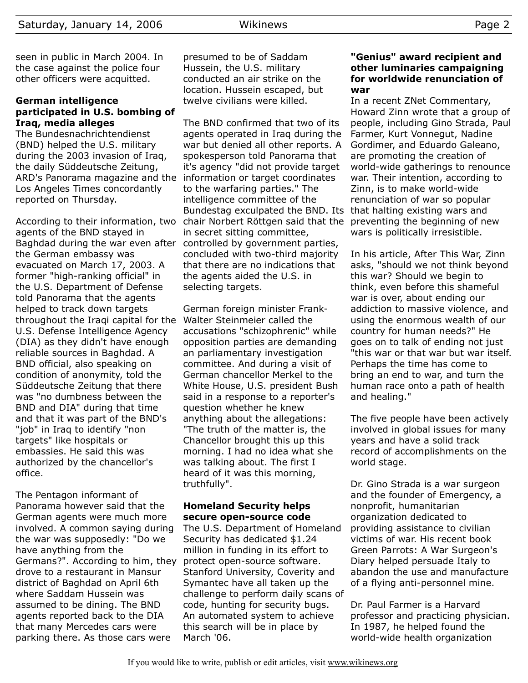seen in public in March 2004. In the case against the police four other officers were acquitted.

#### **German intelligence participated in U.S. bombing of Iraq, media alleges**

The Bundesnachrichtendienst (BND) helped the U.S. military during the 2003 invasion of Iraq, the daily Süddeutsche Zeitung, ARD's Panorama magazine and the information or target coordinates Los Angeles Times concordantly reported on Thursday.

agents of the BND stayed in Baghdad during the war even after controlled by government parties, the German embassy was evacuated on March 17, 2003. A former "high-ranking official" in the U.S. Department of Defense told Panorama that the agents helped to track down targets throughout the Iraqi capital for the U.S. Defense Intelligence Agency (DIA) as they didn't have enough reliable sources in Baghdad. A BND official, also speaking on condition of anonymity, told the Süddeutsche Zeitung that there was "no dumbness between the BND and DIA" during that time and that it was part of the BND's "job" in Iraq to identify "non targets" like hospitals or embassies. He said this was authorized by the chancellor's office.

The Pentagon informant of Panorama however said that the German agents were much more involved. A common saying during the war was supposedly: "Do we have anything from the Germans?". According to him, they drove to a restaurant in Mansur district of Baghdad on April 6th where Saddam Hussein was assumed to be dining. The BND agents reported back to the DIA that many Mercedes cars were parking there. As those cars were

presumed to be of Saddam Hussein, the U.S. military conducted an air strike on the location. Hussein escaped, but twelve civilians were killed.

According to their information, two chair Norbert Röttgen said that the preventing the beginning of new The BND confirmed that two of its agents operated in Iraq during the war but denied all other reports. A spokesperson told Panorama that it's agency "did not provide target to the warfaring parties." The intelligence committee of the Bundestag exculpated the BND. Its that halting existing wars and in secret sitting committee, concluded with two-third majority that there are no indications that the agents aided the U.S. in selecting targets.

> German foreign minister Frank-Walter Steinmeier called the accusations "schizophrenic" while opposition parties are demanding an parliamentary investigation committee. And during a visit of German chancellor Merkel to the White House, U.S. president Bush said in a response to a reporter's question whether he knew anything about the allegations: "The truth of the matter is, the Chancellor brought this up this morning. I had no idea what she was talking about. The first I heard of it was this morning, truthfully".

#### **Homeland Security helps secure open-source code**

The U.S. Department of Homeland Security has dedicated \$1.24 million in funding in its effort to protect open-source software. Stanford University, Coverity and Symantec have all taken up the challenge to perform daily scans of code, hunting for security bugs. An automated system to achieve this search will be in place by March '06.

#### **"Genius" award recipient and other luminaries campaigning for worldwide renunciation of war**

In a recent ZNet Commentary, Howard Zinn wrote that a group of people, including Gino Strada, Paul Farmer, Kurt Vonnegut, Nadine Gordimer, and Eduardo Galeano, are promoting the creation of world-wide gatherings to renounce war. Their intention, according to Zinn, is to make world-wide renunciation of war so popular wars is politically irresistible.

In his article, After This War, Zinn asks, "should we not think beyond this war? Should we begin to think, even before this shameful war is over, about ending our addiction to massive violence, and using the enormous wealth of our country for human needs?" He goes on to talk of ending not just "this war or that war but war itself. Perhaps the time has come to bring an end to war, and turn the human race onto a path of health and healing."

The five people have been actively involved in global issues for many years and have a solid track record of accomplishments on the world stage.

Dr. Gino Strada is a war surgeon and the founder of Emergency, a nonprofit, humanitarian organization dedicated to providing assistance to civilian victims of war. His recent book Green Parrots: A War Surgeon's Diary helped persuade Italy to abandon the use and manufacture of a flying anti-personnel mine.

Dr. Paul Farmer is a Harvard professor and practicing physician. In 1987, he helped found the world-wide health organization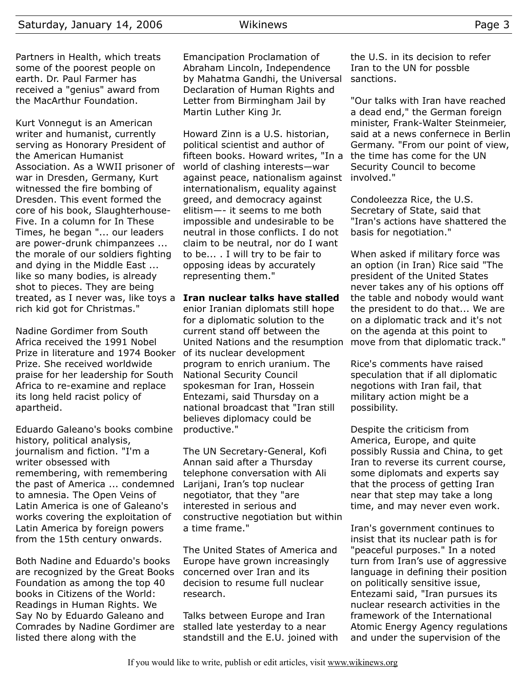Kurt Vonnegut is an American writer and humanist, currently serving as Honorary President of the American Humanist Association. As a WWII prisoner of war in Dresden, Germany, Kurt witnessed the fire bombing of Dresden. This event formed the core of his book, Slaughterhouse-Five. In a column for In These Times, he began "... our leaders are power-drunk chimpanzees ... the morale of our soldiers fighting and dying in the Middle East ... like so many bodies, is already shot to pieces. They are being treated, as I never was, like toys a rich kid got for Christmas."

Nadine Gordimer from South Africa received the 1991 Nobel Prize in literature and 1974 Booker Prize. She received worldwide praise for her leadership for South Africa to re-examine and replace its long held racist policy of apartheid.

Eduardo Galeano's books combine history, political analysis, journalism and fiction. "I'm a writer obsessed with remembering, with remembering the past of America ... condemned to amnesia. The Open Veins of Latin America is one of Galeano's works covering the exploitation of Latin America by foreign powers from the 15th century onwards.

Both Nadine and Eduardo's books are recognized by the Great Books Foundation as among the top 40 books in Citizens of the World: Readings in Human Rights. We Say No by Eduardo Galeano and Comrades by Nadine Gordimer are listed there along with the

Emancipation Proclamation of Abraham Lincoln, Independence by Mahatma Gandhi, the Universal Declaration of Human Rights and Letter from Birmingham Jail by Martin Luther King Jr.

Howard Zinn is a U.S. historian, political scientist and author of fifteen books. Howard writes, "In a world of clashing interests—war against peace, nationalism against internationalism, equality against greed, and democracy against elitism—- it seems to me both impossible and undesirable to be neutral in those conflicts. I do not claim to be neutral, nor do I want to be... . I will try to be fair to opposing ideas by accurately representing them."

#### **Iran nuclear talks have stalled**

enior Iranian diplomats still hope for a diplomatic solution to the current stand off between the United Nations and the resumption of its nuclear development program to enrich uranium. The National Security Council spokesman for Iran, Hossein Entezami, said Thursday on a national broadcast that "Iran still believes diplomacy could be productive."

The UN Secretary-General, Kofi Annan said after a Thursday telephone conversation with Ali Larijani, Iran's top nuclear negotiator, that they "are interested in serious and constructive negotiation but within a time frame."

The United States of America and Europe have grown increasingly concerned over Iran and its decision to resume full nuclear research.

Talks between Europe and Iran stalled late yesterday to a near standstill and the E.U. joined with the U.S. in its decision to refer Iran to the UN for possble sanctions.

"Our talks with Iran have reached a dead end," the German foreign minister, Frank-Walter Steinmeier, said at a news confernece in Berlin Germany. "From our point of view, the time has come for the UN Security Council to become involved."

Condoleezza Rice, the U.S. Secretary of State, said that "Iran's actions have shattered the basis for negotiation."

When asked if military force was an option (in Iran) Rice said "The president of the United States never takes any of his options off the table and nobody would want the president to do that... We are on a diplomatic track and it's not on the agenda at this point to move from that diplomatic track."

Rice's comments have raised speculation that if all diplomatic negotions with Iran fail, that military action might be a possibility.

Despite the criticism from America, Europe, and quite possibly Russia and China, to get Iran to reverse its current course, some diplomats and experts say that the process of getting Iran near that step may take a long time, and may never even work.

Iran's government continues to insist that its nuclear path is for "peaceful purposes." In a noted turn from Iran's use of aggressive language in defining their position on politically sensitive issue, Entezami said, "Iran pursues its nuclear research activities in the framework of the International Atomic Energy Agency regulations and under the supervision of the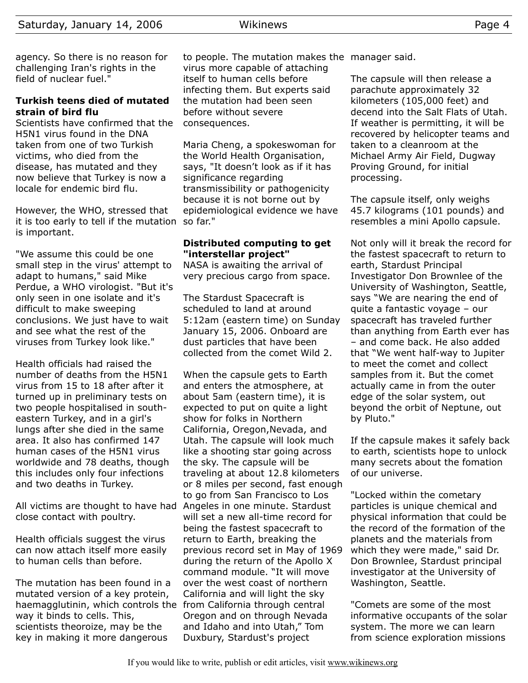agency. So there is no reason for challenging Iran's rights in the field of nuclear fuel."

## **Turkish teens died of mutated strain of bird flu**

Scientists have confirmed that the H5N1 virus found in the DNA taken from one of two Turkish victims, who died from the disease, has mutated and they now believe that Turkey is now a locale for endemic bird flu.

However, the WHO, stressed that it is too early to tell if the mutation so far." is important.

"We assume this could be one small step in the virus' attempt to adapt to humans," said Mike Perdue, a WHO virologist. "But it's only seen in one isolate and it's difficult to make sweeping conclusions. We just have to wait and see what the rest of the viruses from Turkey look like."

Health officials had raised the number of deaths from the H5N1 virus from 15 to 18 after after it turned up in preliminary tests on two people hospitalised in southeastern Turkey, and in a girl's lungs after she died in the same area. It also has confirmed 147 human cases of the H5N1 virus worldwide and 78 deaths, though this includes only four infections and two deaths in Turkey.

All victims are thought to have had Angeles in one minute. Stardust close contact with poultry.

Health officials suggest the virus can now attach itself more easily to human cells than before.

The mutation has been found in a mutated version of a key protein, haemagglutinin, which controls the from California through central way it binds to cells. This, scientists theoroize, may be the key in making it more dangerous

to people. The mutation makes the manager said. virus more capable of attaching itself to human cells before infecting them. But experts said the mutation had been seen before without severe consequences.

Maria Cheng, a spokeswoman for the World Health Organisation, says, "It doesn't look as if it has significance regarding transmissibility or pathogenicity because it is not borne out by epidemiological evidence we have

#### **Distributed computing to get "interstellar project"**

NASA is awaiting the arrival of very precious cargo from space.

The Stardust Spacecraft is scheduled to land at around 5:12am (eastern time) on Sunday January 15, 2006. Onboard are dust particles that have been collected from the comet Wild 2.

When the capsule gets to Earth and enters the atmosphere, at about 5am (eastern time), it is expected to put on quite a light show for folks in Northern California, Oregon,Nevada, and Utah. The capsule will look much like a shooting star going across the sky. The capsule will be traveling at about 12.8 kilometers or 8 miles per second, fast enough to go from San Francisco to Los will set a new all-time record for being the fastest spacecraft to return to Earth, breaking the previous record set in May of 1969 during the return of the Apollo X command module. "It will move over the west coast of northern California and will light the sky Oregon and on through Nevada and Idaho and into Utah," Tom Duxbury, Stardust's project

The capsule will then release a parachute approximately 32 kilometers (105,000 feet) and decend into the Salt Flats of Utah. If weather is permitting, it will be recovered by helicopter teams and taken to a cleanroom at the Michael Army Air Field, Dugway Proving Ground, for initial processing.

The capsule itself, only weighs 45.7 kilograms (101 pounds) and resembles a mini Apollo capsule.

Not only will it break the record for the fastest spacecraft to return to earth, Stardust Principal Investigator Don Brownlee of the University of Washington, Seattle, says "We are nearing the end of quite a fantastic voyage – our spacecraft has traveled further than anything from Earth ever has – and come back. He also added that "We went half-way to Jupiter to meet the comet and collect samples from it. But the comet actually came in from the outer edge of the solar system, out beyond the orbit of Neptune, out by Pluto."

If the capsule makes it safely back to earth, scientists hope to unlock many secrets about the fomation of our universe.

"Locked within the cometary particles is unique chemical and physical information that could be the record of the formation of the planets and the materials from which they were made," said Dr. Don Brownlee, Stardust principal investigator at the University of Washington, Seattle.

"Comets are some of the most informative occupants of the solar system. The more we can learn from science exploration missions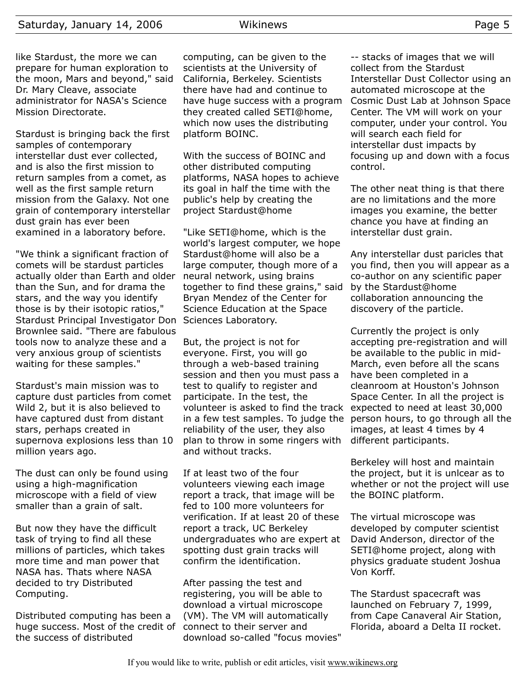like Stardust, the more we can prepare for human exploration to the moon, Mars and beyond," said Dr. Mary Cleave, associate administrator for NASA's Science Mission Directorate.

Stardust is bringing back the first samples of contemporary interstellar dust ever collected, and is also the first mission to return samples from a comet, as well as the first sample return mission from the Galaxy. Not one grain of contemporary interstellar dust grain has ever been examined in a laboratory before.

"We think a significant fraction of comets will be stardust particles actually older than Earth and older than the Sun, and for drama the stars, and the way you identify those is by their isotopic ratios," Stardust Principal Investigator Don Sciences Laboratory. Brownlee said. "There are fabulous tools now to analyze these and a very anxious group of scientists waiting for these samples."

Stardust's main mission was to capture dust particles from comet Wild 2, but it is also believed to have captured dust from distant stars, perhaps created in supernova explosions less than 10 million years ago.

The dust can only be found using using a high-magnification microscope with a field of view smaller than a grain of salt.

But now they have the difficult task of trying to find all these millions of particles, which takes more time and man power that NASA has. Thats where NASA decided to try Distributed Computing.

Distributed computing has been a huge success. Most of the credit of the success of distributed

computing, can be given to the scientists at the University of California, Berkeley. Scientists there have had and continue to have huge success with a program they created called SETI@home, which now uses the distributing platform BOINC.

With the success of BOINC and other distributed computing platforms, NASA hopes to achieve its goal in half the time with the public's help by creating the project Stardust@home

"Like SETI@home, which is the world's largest computer, we hope Stardust@home will also be a large computer, though more of a neural network, using brains together to find these grains," said Bryan Mendez of the Center for Science Education at the Space

But, the project is not for everyone. First, you will go through a web-based training session and then you must pass a test to qualify to register and participate. In the test, the volunteer is asked to find the track in a few test samples. To judge the reliability of the user, they also plan to throw in some ringers with and without tracks.

If at least two of the four volunteers viewing each image report a track, that image will be fed to 100 more volunteers for verification. If at least 20 of these report a track, UC Berkeley undergraduates who are expert at spotting dust grain tracks will confirm the identification.

After passing the test and registering, you will be able to download a virtual microscope (VM). The VM will automatically connect to their server and download so-called "focus movies"

-- stacks of images that we will collect from the Stardust Interstellar Dust Collector using an automated microscope at the Cosmic Dust Lab at Johnson Space Center. The VM will work on your computer, under your control. You will search each field for interstellar dust impacts by focusing up and down with a focus control.

The other neat thing is that there are no limitations and the more images you examine, the better chance you have at finding an interstellar dust grain.

Any interstellar dust paricles that you find, then you will appear as a co-author on any scientific paper by the Stardust@home collaboration announcing the discovery of the particle.

Currently the project is only accepting pre-registration and will be available to the public in mid-March, even before all the scans have been completed in a cleanroom at Houston's Johnson Space Center. In all the project is expected to need at least 30,000 person hours, to go through all the images, at least 4 times by 4 different participants.

Berkeley will host and maintain the project, but it is unlcear as to whether or not the project will use the BOINC platform.

The virtual microscope was developed by computer scientist David Anderson, director of the SETI@home project, along with physics graduate student Joshua Von Korff.

The Stardust spacecraft was launched on February 7, 1999, from Cape Canaveral Air Station, Florida, aboard a Delta II rocket.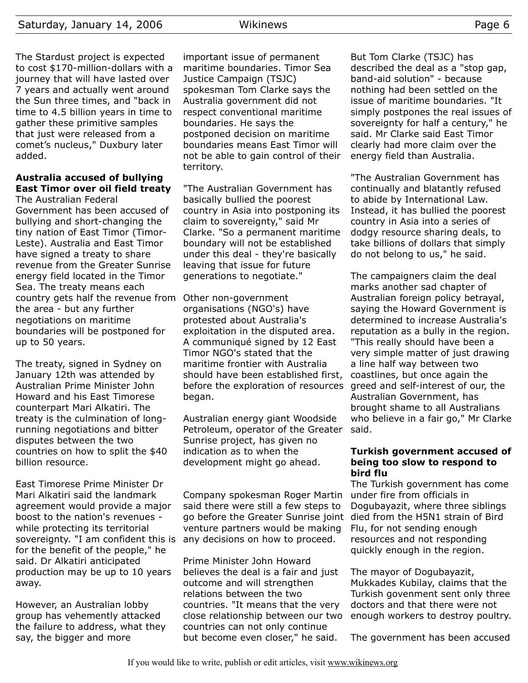The Stardust project is expected to cost \$170-million-dollars with a journey that will have lasted over 7 years and actually went around the Sun three times, and "back in time to 4.5 billion years in time to gather these primitive samples that just were released from a comet's nucleus," Duxbury later added.

# **Australia accused of bullying East Timor over oil field treaty**

The Australian Federal Government has been accused of bullying and short-changing the tiny nation of East Timor (Timor-Leste). Australia and East Timor have signed a treaty to share revenue from the Greater Sunrise energy field located in the Timor Sea. The treaty means each country gets half the revenue from Other non-government the area - but any further negotiations on maritime boundaries will be postponed for up to 50 years.

The treaty, signed in Sydney on January 12th was attended by Australian Prime Minister John Howard and his East Timorese counterpart Mari Alkatiri. The treaty is the culmination of longrunning negotiations and bitter disputes between the two countries on how to split the \$40 billion resource.

East Timorese Prime Minister Dr Mari Alkatiri said the landmark agreement would provide a major boost to the nation's revenues while protecting its territorial sovereignty. "I am confident this is for the benefit of the people," he said. Dr Alkatiri anticipated production may be up to 10 years away.

However, an Australian lobby group has vehemently attacked the failure to address, what they say, the bigger and more

important issue of permanent maritime boundaries. Timor Sea Justice Campaign (TSJC) spokesman Tom Clarke says the Australia government did not respect conventional maritime boundaries. He says the postponed decision on maritime boundaries means East Timor will not be able to gain control of their territory.

"The Australian Government has basically bullied the poorest country in Asia into postponing its claim to sovereignty," said Mr Clarke. "So a permanent maritime boundary will not be established under this deal - they're basically leaving that issue for future generations to negotiate."

organisations (NGO's) have protested about Australia's exploitation in the disputed area. A communiqué signed by 12 East Timor NGO's stated that the maritime frontier with Australia should have been established first, before the exploration of resources began.

Australian energy giant Woodside Petroleum, operator of the Greater Sunrise project, has given no indication as to when the development might go ahead.

#### Company spokesman Roger Martin said there were still a few steps to go before the Greater Sunrise joint venture partners would be making any decisions on how to proceed.

Prime Minister John Howard believes the deal is a fair and just outcome and will strengthen relations between the two countries. "It means that the very close relationship between our two countries can not only continue but become even closer," he said.

But Tom Clarke (TSJC) has described the deal as a "stop gap, band-aid solution" - because nothing had been settled on the issue of maritime boundaries. "It simply postpones the real issues of sovereignty for half a century," he said. Mr Clarke said East Timor clearly had more claim over the energy field than Australia.

"The Australian Government has continually and blatantly refused to abide by International Law. Instead, it has bullied the poorest country in Asia into a series of dodgy resource sharing deals, to take billions of dollars that simply do not belong to us," he said.

The campaigners claim the deal marks another sad chapter of Australian foreign policy betrayal, saying the Howard Government is determined to increase Australia's reputation as a bully in the region. "This really should have been a very simple matter of just drawing a line half way between two coastlines, but once again the greed and self-interest of our, the Australian Government, has brought shame to all Australians who believe in a fair go," Mr Clarke said.

#### **Turkish government accused of being too slow to respond to bird flu**

The Turkish government has come under fire from officials in Dogubayazit, where three siblings died from the H5N1 strain of Bird Flu, for not sending enough resources and not responding quickly enough in the region.

The mayor of Dogubayazit, Mukkades Kubilay, claims that the Turkish govenment sent only three doctors and that there were not enough workers to destroy poultry.

The government has been accused